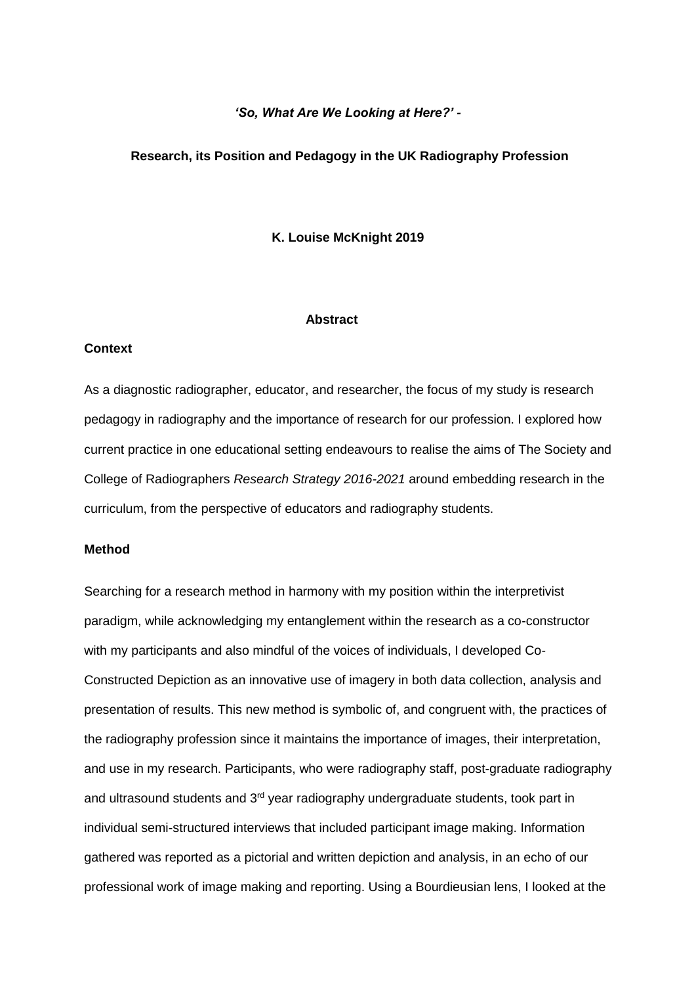# *'So, What Are We Looking at Here?' -*

#### **Research, its Position and Pedagogy in the UK Radiography Profession**

### **K. Louise McKnight 2019**

#### **Abstract**

#### **Context**

As a diagnostic radiographer, educator, and researcher, the focus of my study is research pedagogy in radiography and the importance of research for our profession. I explored how current practice in one educational setting endeavours to realise the aims of The Society and College of Radiographers *Research Strategy 2016-2021* around embedding research in the curriculum, from the perspective of educators and radiography students.

## **Method**

Searching for a research method in harmony with my position within the interpretivist paradigm, while acknowledging my entanglement within the research as a co-constructor with my participants and also mindful of the voices of individuals, I developed Co-Constructed Depiction as an innovative use of imagery in both data collection, analysis and presentation of results. This new method is symbolic of, and congruent with, the practices of the radiography profession since it maintains the importance of images, their interpretation, and use in my research. Participants, who were radiography staff, post-graduate radiography and ultrasound students and 3<sup>rd</sup> year radiography undergraduate students, took part in individual semi-structured interviews that included participant image making. Information gathered was reported as a pictorial and written depiction and analysis, in an echo of our professional work of image making and reporting. Using a Bourdieusian lens, I looked at the